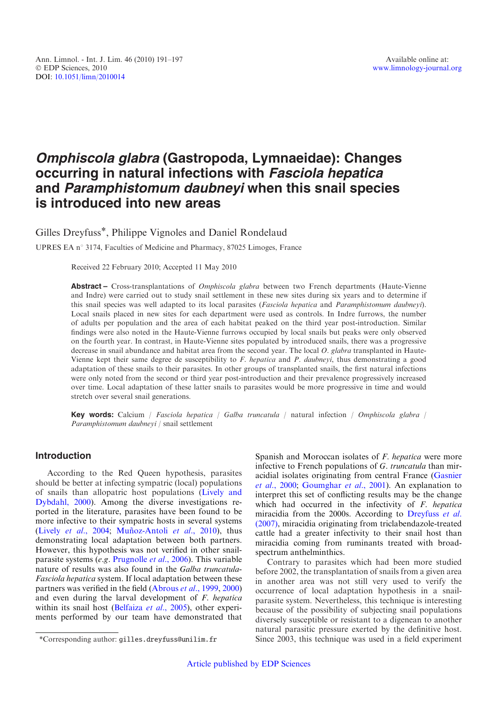# Omphiscola glabra (Gastropoda, Lymnaeidae): Changes occurring in natural infections with Fasciola hepatica and Paramphistomum daubneyi when this snail species is introduced into new areas

Gilles Dreyfuss\*, Philippe Vignoles and Daniel Rondelaud

UPRES EA n° 3174, Faculties of Medicine and Pharmacy, 87025 Limoges, France

Received 22 February 2010; Accepted 11 May 2010

Abstract – Cross-transplantations of *Omphiscola glabra* between two French departments (Haute-Vienne and Indre) were carried out to study snail settlement in these new sites during six years and to determine if this snail species was well adapted to its local parasites (Fasciola hepatica and Paramphistomum daubneyi). Local snails placed in new sites for each department were used as controls. In Indre furrows, the number of adults per population and the area of each habitat peaked on the third year post-introduction. Similar findings were also noted in the Haute-Vienne furrows occupied by local snails but peaks were only observed on the fourth year. In contrast, in Haute-Vienne sites populated by introduced snails, there was a progressive decrease in snail abundance and habitat area from the second year. The local O. glabra transplanted in Haute-Vienne kept their same degree de susceptibility to F. hepatica and P. daubneyi, thus demonstrating a good adaptation of these snails to their parasites. In other groups of transplanted snails, the first natural infections were only noted from the second or third year post-introduction and their prevalence progressively increased over time. Local adaptation of these latter snails to parasites would be more progressive in time and would stretch over several snail generations.

**Key words:** Calcium / Fasciola hepatica / Galba truncatula / natural infection / Omphiscola glabra / Paramphistomum daubneyi / snail settlement

# Introduction

According to the Red Queen hypothesis, parasites should be better at infecting sympatric (local) populations of snails than allopatric host populations [\(Lively and](#page-6-0) [Dybdahl, 2000](#page-6-0)). Among the diverse investigations reported in the literature, parasites have been found to be more infective to their sympatric hosts in several systems (Lively et al.[, 2004](#page-6-0); Muñoz-Antoli et al., 2010), thus demonstrating local adaptation between both partners. However, this hypothesis was not verified in other snailparasite systems (e.g. [Prugnolle](#page-6-0) et al., 2006). This variable nature of results was also found in the Galba truncatula-Fasciola hepatica system. If local adaptation between these partners was verified in the field ([Abrous](#page-5-0) et al., 1999, [2000](#page-5-0)) and even during the larval development of F. hepatica within its snail host [\(Belfaiza](#page-5-0) et al., 2005), other experiments performed by our team have demonstrated that

Spanish and Moroccan isolates of F. hepatica were more infective to French populations of G. truncatula than miracidial isolates originating from central France [\(Gasnier](#page-6-0) et al.[, 2000](#page-6-0); [Goumghar](#page-6-0) et al., 2001). An explanation to interpret this set of conflicting results may be the change which had occurred in the infectivity of  $F$ . hepatica miracidia from the 2000s. According to [Dreyfuss](#page-5-0) et al. [\(2007\),](#page-5-0) miracidia originating from triclabendazole-treated cattle had a greater infectivity to their snail host than miracidia coming from ruminants treated with broadspectrum anthelminthics.

Contrary to parasites which had been more studied before 2002, the transplantation of snails from a given area in another area was not still very used to verify the occurrence of local adaptation hypothesis in a snailparasite system. Nevertheless, this technique is interesting because of the possibility of subjecting snail populations diversely susceptible or resistant to a digenean to another natural parasitic pressure exerted by the definitive host. \*Corresponding author: gilles.dreyfuss@unilim.fr Since 2003, this technique was used in a field experiment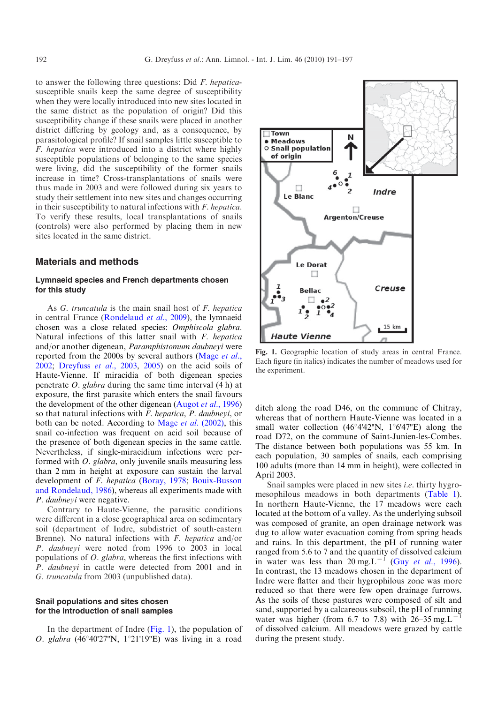<span id="page-1-0"></span>to answer the following three questions: Did F. hepaticasusceptible snails keep the same degree of susceptibility when they were locally introduced into new sites located in the same district as the population of origin? Did this susceptibility change if these snails were placed in another district differing by geology and, as a consequence, by parasitological profile? If snail samples little susceptible to F. hepatica were introduced into a district where highly susceptible populations of belonging to the same species were living, did the susceptibility of the former snails increase in time? Cross-transplantations of snails were thus made in 2003 and were followed during six years to study their settlement into new sites and changes occurring in their susceptibility to natural infections with F. hepatica. To verify these results, local transplantations of snails (controls) were also performed by placing them in new sites located in the same district.

# Materials and methods

# Lymnaeid species and French departments chosen for this study

As G. truncatula is the main snail host of F. hepatica in central France ([Rondelaud](#page-6-0) et al., 2009), the lymnaeid chosen was a close related species: Omphiscola glabra. Natural infections of this latter snail with F. hepatica and/or another digenean, Paramphistomum daubneyi were reported from the 2000s by several authors [\(Mage](#page-6-0) et al., [2002](#page-6-0); [Dreyfuss](#page-5-0) et al., 2003, [2005](#page-5-0)) on the acid soils of Haute-Vienne. If miracidia of both digenean species penetrate  $O.$  glabra during the same time interval  $(4 h)$  at exposure, the first parasite which enters the snail favours the development of the other digenean [\(Augot](#page-5-0) et al., 1996) so that natural infections with F. hepatica, P. daubneyi, or both can be noted. According to Mage et al. [\(2002\),](#page-6-0) this snail co-infection was frequent on acid soil because of the presence of both digenean species in the same cattle. Nevertheless, if single-miracidium infections were performed with *O. glabra*, only juvenile snails measuring less than 2 mm in height at exposure can sustain the larval development of F. hepatica [\(Boray, 1978](#page-5-0); [Bouix-Busson](#page-5-0) [and Rondelaud, 1986](#page-5-0)), whereas all experiments made with P. daubneyi were negative.

Contrary to Haute-Vienne, the parasitic conditions were different in a close geographical area on sedimentary soil (department of Indre, subdistrict of south-eastern Brenne). No natural infections with F. hepatica and/or P. daubneyi were noted from 1996 to 2003 in local populations of O. glabra, whereas the first infections with P. daubneyi in cattle were detected from 2001 and in G. truncatula from 2003 (unpublished data).

# Snail populations and sites chosen for the introduction of snail samples

In the department of Indre (Fig. 1), the population of O. glabra  $(46^{\circ}40'27''N, 1^{\circ}21'19''E)$  was living in a road



Fig. 1. Geographic location of study areas in central France. Each figure (in italics) indicates the number of meadows used for the experiment.

ditch along the road D46, on the commune of Chitray, whereas that of northern Haute-Vienne was located in a small water collection (46°4'42"N, 1°6'47"E) along the road D72, on the commune of Saint-Junien-les-Combes. The distance between both populations was 55 km. In each population, 30 samples of snails, each comprising 100 adults (more than 14 mm in height), were collected in April 2003.

Snail samples were placed in new sites i.e. thirty hygro-mesophilous meadows in both departments ([Table 1](#page-2-0)). In northern Haute-Vienne, the 17 meadows were each located at the bottom of a valley. As the underlying subsoil was composed of granite, an open drainage network was dug to allow water evacuation coming from spring heads and rains. In this department, the pH of running water ranged from 5.6 to 7 and the quantity of dissolved calcium in water was less than 20 mg. L<sup>-1</sup> (Guy et al.[, 1996](#page-6-0)). In contrast, the 13 meadows chosen in the department of Indre were flatter and their hygrophilous zone was more reduced so that there were few open drainage furrows. As the soils of these pastures were composed of silt and sand, supported by a calcareous subsoil, the pH of running water was higher (from 6.7 to 7.8) with  $26-35$  mg.L<sup>-</sup> of dissolved calcium. All meadows were grazed by cattle during the present study.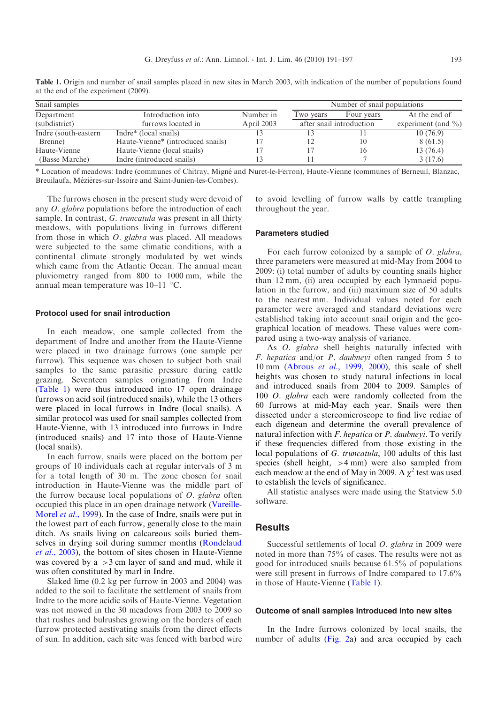| Snail samples         | Number of snail populations                   |            |                          |            |                        |
|-----------------------|-----------------------------------------------|------------|--------------------------|------------|------------------------|
| Department            | Introduction into                             | Number in  | Two years                | Four years | At the end of          |
| (subdistrict)         | furrows located in                            | April 2003 | after snail introduction |            | experiment (and $\%$ ) |
| Indre (south-eastern) | Indre* (local snails)                         |            |                          |            | 10(76.9)               |
| Brenne)               | Haute-Vienne <sup>*</sup> (introduced snails) |            |                          | 10         | 8(61.5)                |
| Haute-Vienne          | Haute-Vienne (local snails)                   |            |                          | 16         | 13 (76.4)              |
| (Basse Marche)        | Indre (introduced snails)                     |            |                          |            | 3(17.6)                |

<span id="page-2-0"></span>Table 1. Origin and number of snail samples placed in new sites in March 2003, with indication of the number of populations found at the end of the experiment (2009).

\* Location of meadows: Indre (communes of Chitray, Migne´ and Nuret-le-Ferron), Haute-Vienne (communes of Berneuil, Blanzac, Breuilaufa, Mézières-sur-Issoire and Saint-Junien-les-Combes).

The furrows chosen in the present study were devoid of any O. glabra populations before the introduction of each sample. In contrast, G. truncatula was present in all thirty meadows, with populations living in furrows different from those in which O. glabra was placed. All meadows were subjected to the same climatic conditions, with a continental climate strongly modulated by wet winds which came from the Atlantic Ocean. The annual mean pluviometry ranged from 800 to 1000 mm, while the annual mean temperature was  $10-11$  °C.

#### Protocol used for snail introduction

In each meadow, one sample collected from the department of Indre and another from the Haute-Vienne were placed in two drainage furrows (one sample per furrow). This sequence was chosen to subject both snail samples to the same parasitic pressure during cattle grazing. Seventeen samples originating from Indre (Table 1) were thus introduced into 17 open drainage furrows on acid soil (introduced snails), while the 13 others were placed in local furrows in Indre (local snails). A similar protocol was used for snail samples collected from Haute-Vienne, with 13 introduced into furrows in Indre (introduced snails) and 17 into those of Haute-Vienne (local snails).

In each furrow, snails were placed on the bottom per groups of 10 individuals each at regular intervals of 3 m for a total length of 30 m. The zone chosen for snail introduction in Haute-Vienne was the middle part of the furrow because local populations of  $O$ . glabra often occupied this place in an open drainage network [\(Vareille-](#page-6-0)[Morel](#page-6-0) *et al.*, 1999). In the case of Indre, snails were put in the lowest part of each furrow, generally close to the main ditch. As snails living on calcareous soils buried themselves in drying soil during summer months [\(Rondelaud](#page-6-0) et al.[, 2003](#page-6-0)), the bottom of sites chosen in Haute-Vienne was covered by  $a > 3$  cm layer of sand and mud, while it was often constituted by marl in Indre.

Slaked lime (0.2 kg per furrow in 2003 and 2004) was added to the soil to facilitate the settlement of snails from Indre to the more acidic soils of Haute-Vienne. Vegetation was not mowed in the 30 meadows from 2003 to 2009 so that rushes and bulrushes growing on the borders of each furrow protected aestivating snails from the direct effects of sun. In addition, each site was fenced with barbed wire

to avoid levelling of furrow walls by cattle trampling throughout the year.

#### Parameters studied

For each furrow colonized by a sample of O. glabra, three parameters were measured at mid-May from 2004 to 2009: (i) total number of adults by counting snails higher than 12 mm, (ii) area occupied by each lymnaeid population in the furrow, and (iii) maximum size of 50 adults to the nearest mm. Individual values noted for each parameter were averaged and standard deviations were established taking into account snail origin and the geographical location of meadows. These values were compared using a two-way analysis of variance.

As *O. glabra* shell heights naturally infected with F. hepatica and/or P. daubneyi often ranged from 5 to 10 mm ([Abrous](#page-5-0) et al., 1999, [2000](#page-5-0)), this scale of shell heights was chosen to study natural infections in local and introduced snails from 2004 to 2009. Samples of 100 *O. glabra* each were randomly collected from the 60 furrows at mid-May each year. Snails were then dissected under a stereomicroscope to find live rediae of each digenean and determine the overall prevalence of natural infection with  $F$ . hepatica or  $P$ . daubneyi. To verify if these frequencies differed from those existing in the local populations of G. truncatula, 100 adults of this last species (shell height,  $>4$  mm) were also sampled from each meadow at the end of May in 2009. A  $\chi^2$  test was used to establish the levels of significance.

All statistic analyses were made using the Statview 5.0 software.

# Results

Successful settlements of local O. glabra in 2009 were noted in more than 75% of cases. The results were not as good for introduced snails because 61.5% of populations were still present in furrows of Indre compared to 17.6% in those of Haute-Vienne (Table 1).

#### Outcome of snail samples introduced into new sites

In the Indre furrows colonized by local snails, the number of adults ([Fig. 2](#page-3-0)a) and area occupied by each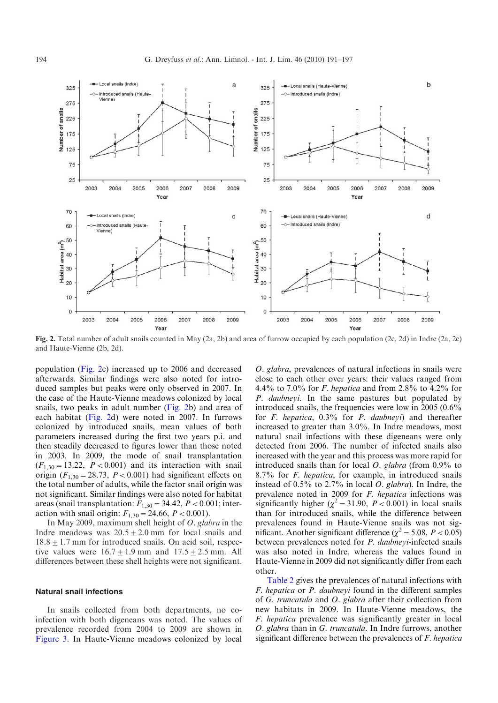<span id="page-3-0"></span>

Fig. 2. Total number of adult snails counted in May (2a, 2b) and area of furrow occupied by each population (2c, 2d) in Indre (2a, 2c) and Haute-Vienne (2b, 2d).

population (Fig. 2c) increased up to 2006 and decreased afterwards. Similar findings were also noted for introduced samples but peaks were only observed in 2007. In the case of the Haute-Vienne meadows colonized by local snails, two peaks in adult number ([Fig. 2b](#page-1-0)) and area of each habitat (Fig. 2d) were noted in 2007. In furrows colonized by introduced snails, mean values of both parameters increased during the first two years p.i. and then steadily decreased to figures lower than those noted in 2003. In 2009, the mode of snail transplantation  $(F_{1,30} = 13.22, P < 0.001)$  and its interaction with snail origin  $(F_{1,30} = 28.73, P < 0.001)$  had significant effects on the total number of adults, while the factor snail origin was not significant. Similar findings were also noted for habitat areas (snail transplantation:  $F_{1,30} = 34.42$ ,  $P < 0.001$ ; interaction with snail origin:  $F_{1,30} = 24.66$ ,  $P < 0.001$ ).

In May 2009, maximum shell height of O. glabra in the Indre meadows was  $20.5 \pm 2.0$  mm for local snails and  $18.8 \pm 1.7$  mm for introduced snails. On acid soil, respective values were  $16.7 \pm 1.9$  mm and  $17.5 \pm 2.5$  mm. All differences between these shell heights were not significant.

#### Natural snail infections

In snails collected from both departments, no coinfection with both digeneans was noted. The values of prevalence recorded from 2004 to 2009 are shown in [Figure 3.](#page-4-0) In Haute-Vienne meadows colonized by local

O. glabra, prevalences of natural infections in snails were close to each other over years: their values ranged from 4.4% to 7.0% for *F. hepatica* and from 2.8% to 4.2% for P. daubneyi. In the same pastures but populated by introduced snails, the frequencies were low in 2005 (0.6% for  $F$ . hepatica,  $0.3\%$  for  $P$ . daubneyi) and thereafter increased to greater than 3.0%. In Indre meadows, most natural snail infections with these digeneans were only detected from 2006. The number of infected snails also increased with the year and this process was more rapid for introduced snails than for local  $O.$  glabra (from  $0.9\%$  to 8.7% for F. hepatica, for example, in introduced snails instead of 0.5% to 2.7% in local O. glabra). In Indre, the prevalence noted in 2009 for F. hepatica infections was significantly higher ( $\chi^2$  = 31.90, P < 0.001) in local snails than for introduced snails, while the difference between prevalences found in Haute-Vienne snails was not significant. Another significant difference ( $\chi^2$  = 5.08, P < 0.05) between prevalences noted for *P. daubneyi*-infected snails was also noted in Indre, whereas the values found in Haute-Vienne in 2009 did not significantly differ from each other.

[Table 2](#page-4-0) gives the prevalences of natural infections with F. hepatica or P. daubneyi found in the different samples of G. truncatula and O. glabra after their collection from new habitats in 2009. In Haute-Vienne meadows, the F. hepatica prevalence was significantly greater in local O. glabra than in G. truncatula. In Indre furrows, another significant difference between the prevalences of *F. hepatica*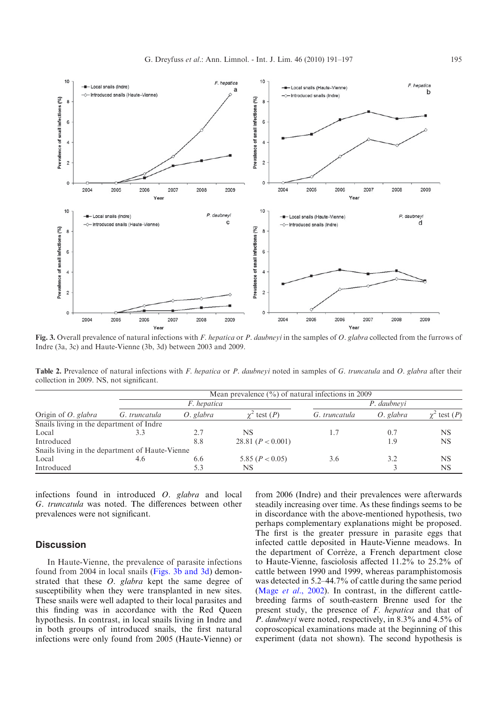<span id="page-4-0"></span>

Fig. 3. Overall prevalence of natural infections with F. hepatica or P. daubneyi in the samples of O. glabra collected from the furrows of Indre (3a, 3c) and Haute-Vienne (3b, 3d) between 2003 and 2009.

Table 2. Prevalence of natural infections with F. hepatica or P. daubneyi noted in samples of G. truncatula and O. glabra after their collection in 2009. NS, not significant.

| Origin of <i>O. glabra</i>                      | Mean prevalence $(\frac{9}{0})$ of natural infections in 2009 |           |                     |               |           |            |  |  |
|-------------------------------------------------|---------------------------------------------------------------|-----------|---------------------|---------------|-----------|------------|--|--|
|                                                 | <i>F.</i> hepatica                                            |           |                     | P. daubnevi   |           |            |  |  |
|                                                 | G. truncatula                                                 | O. glabra | $\chi^2$ test $(P)$ | G. truncatula | O. glabra | test $(P)$ |  |  |
| Snails living in the department of Indre        |                                                               |           |                     |               |           |            |  |  |
| Local                                           | 3.3                                                           | 2.7       | <b>NS</b>           | 1.7           | 0.7       | NS         |  |  |
| Introduced                                      |                                                               | 8.8       | 28.81 $(P < 0.001)$ |               | 1.9       | <b>NS</b>  |  |  |
| Snails living in the department of Haute-Vienne |                                                               |           |                     |               |           |            |  |  |
| Local                                           | 4.6                                                           | 6.6       | 5.85 $(P < 0.05)$   | 3.6           | 3.2       | <b>NS</b>  |  |  |
| Introduced                                      |                                                               | 5.3       | <b>NS</b>           |               |           | NS         |  |  |

infections found in introduced O. glabra and local G. truncatula was noted. The differences between other prevalences were not significant.

# **Discussion**

In Haute-Vienne, the prevalence of parasite infections found from 2004 in local snails (Figs. 3b and 3d) demonstrated that these O. glabra kept the same degree of susceptibility when they were transplanted in new sites. These snails were well adapted to their local parasites and this finding was in accordance with the Red Queen hypothesis. In contrast, in local snails living in Indre and in both groups of introduced snails, the first natural infections were only found from 2005 (Haute-Vienne) or

from 2006 (Indre) and their prevalences were afterwards steadily increasing over time. As these findings seems to be in discordance with the above-mentioned hypothesis, two perhaps complementary explanations might be proposed. The first is the greater pressure in parasite eggs that infected cattle deposited in Haute-Vienne meadows. In the department of Corrèze, a French department close to Haute-Vienne, fasciolosis affected 11.2% to 25.2% of cattle between 1990 and 1999, whereas paramphistomosis was detected in 5.2–44.7% of cattle during the same period (Mage *et al.*[, 2002](#page-6-0)). In contrast, in the different cattlebreeding farms of south-eastern Brenne used for the present study, the presence of F. hepatica and that of P. daubneyi were noted, respectively, in 8.3% and 4.5% of coproscopical examinations made at the beginning of this experiment (data not shown). The second hypothesis is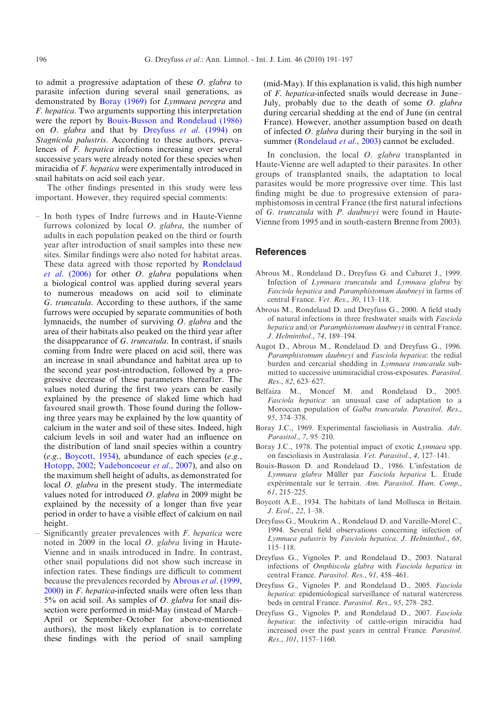<span id="page-5-0"></span>to admit a progressive adaptation of these O. glabra to parasite infection during several snail generations, as demonstrated by Boray (1969) for Lymnaea peregra and F. hepatica. Two arguments supporting this interpretation were the report by Bouix-Busson and Rondelaud (1986) on O. glabra and that by Dreyfuss et al. (1994) on Stagnicola palustris. According to these authors, prevalences of F. hepatica infections increasing over several successive years were already noted for these species when miracidia of F. hepatica were experimentally introduced in snail habitats on acid soil each year.

The other findings presented in this study were less important. However, they required special comments:

- In both types of Indre furrows and in Haute-Vienne furrows colonized by local  $O$ . glabra, the number of adults in each population peaked on the third or fourth year after introduction of snail samples into these new sites. Similar findings were also noted for habitat areas. These data agreed with those reported by [Rondelaud](#page-6-0) *et al.* [\(2006\)](#page-6-0) for other *O. glabra* populations when a biological control was applied during several years to numerous meadows on acid soil to eliminate G. truncatula. According to these authors, if the same furrows were occupied by separate communities of both lymnaeids, the number of surviving O. glabra and the area of their habitats also peaked on the third year after the disappearance of G. truncatula. In contrast, if snails coming from Indre were placed on acid soil, there was an increase in snail abundance and habitat area up to the second year post-introduction, followed by a progressive decrease of these parameters thereafter. The values noted during the first two years can be easily explained by the presence of slaked lime which had favoured snail growth. Those found during the following three years may be explained by the low quantity of calcium in the water and soil of these sites. Indeed, high calcium levels in soil and water had an influence on the distribution of land snail species within a country  $(e.g., Boycott, 1934)$ , abundance of each species  $(e.g.,$ [Hotopp, 2002;](#page-6-0) [Vadeboncoeur](#page-6-0) et al., 2007), and also on the maximum shell height of adults, as demonstrated for local *O. glabra* in the present study. The intermediate values noted for introduced  $O$ . glabra in 2009 might be explained by the necessity of a longer than five year period in order to have a visible effect of calcium on nail height.
- Significantly greater prevalences with  $F$ . hepatica were noted in 2009 in the local O. glabra living in Haute-Vienne and in snails introduced in Indre. In contrast, other snail populations did not show such increase in infection rates. These findings are difficult to comment because the prevalences recorded by Abrous et al. (1999, 2000) in F. hepatica-infected snails were often less than 5% on acid soil. As samples of *O*. glabra for snail dissection were performed in mid-May (instead of March– April or September–October for above-mentioned authors), the most likely explanation is to correlate these findings with the period of snail sampling

(mid-May). If this explanation is valid, this high number of F. hepatica-infected snails would decrease in June– July, probably due to the death of some  $O$ . glabra during cercarial shedding at the end of June (in central France). However, another assumption based on death of infected O. glabra during their burying in the soil in summer [\(Rondelaud](#page-6-0) et al., 2003) cannot be excluded.

In conclusion, the local *O. glabra* transplanted in Haute-Vienne are well adapted to their parasites. In other groups of transplanted snails, the adaptation to local parasites would be more progressive over time. This last finding might be due to progressive extension of paramphistomosis in central France (the first natural infections of G. truncatula with P. daubneyi were found in Haute-Vienne from 1995 and in south-eastern Brenne from 2003).

# **References**

- Abrous M., Rondelaud D., Dreyfuss G. and Cabaret J., 1999. Infection of Lymnaea truncatula and Lymnaea glabra by Fasciola hepatica and Paramphistomum daubneyi in farms of central France. Vet. Res., 30, 113–118.
- Abrous M., Rondelaud D. and Dreyfuss G., 2000. A field study of natural infections in three freshwater snails with Fasciola hepatica and/or Paramphistomum daubneyi in central France. J. Helminthol., 74, 189–194.
- Augot D., Abrous M., Rondelaud D. and Dreyfuss G., 1996. Paramphistomum daubneyi and Fasciola hepatica: the redial burden and cercarial shedding in Lymnaea truncatula submitted to successive unimiracidial cross-exposures. Parasitol. Res., 82, 623–627.
- Belfaiza M., Moncef M. and Rondelaud D., 2005. Fasciola hepatica: an unusual case of adaptation to a Moroccan population of Galba truncatula. Parasitol. Res., 95, 374–378.
- Boray J.C., 1969. Experimental fascioliasis in Australia. Adv. Parasitol., 7, 95–210.
- Boray J.C., 1978. The potential impact of exotic Lymnaea spp. on fascioliasis in Australasia. Vet. Parasitol., 4, 127–141.
- Bouix-Busson D. and Rondelaud D., 1986. L'infestation de Lymnaea glabra Müller par Fasciola hepatica L. Étude expérimentale sur le terrain. Ann. Parasitol. Hum. Comp., 61, 215–225.
- Boycott A.E., 1934. The habitats of land Mollusca in Britain. J. Ecol., 22, 1–38.
- Dreyfuss G., Moukrim A., Rondelaud D. and Vareille-Morel C., 1994. Several field observations concerning infection of Lymnaea palustris by Fasciola hepatica. J. Helminthol., 68, 115–118.
- Dreyfuss G., Vignoles P. and Rondelaud D., 2003. Natural infections of Omphiscola glabra with Fasciola hepatica in central France. Parasitol. Res., 91, 458–461.
- Dreyfuss G., Vignoles P. and Rondelaud D., 2005. Fasciola hepatica: epidemiological surveillance of natural watercress beds in central France. Parasitol. Res., 95, 278–282.
- Dreyfuss G., Vignoles P. and Rondelaud D., 2007. Fasciola hepatica: the infectivity of cattle-origin miracidia had increased over the past years in central France. Parasitol. Res., 101, 1157–1160.